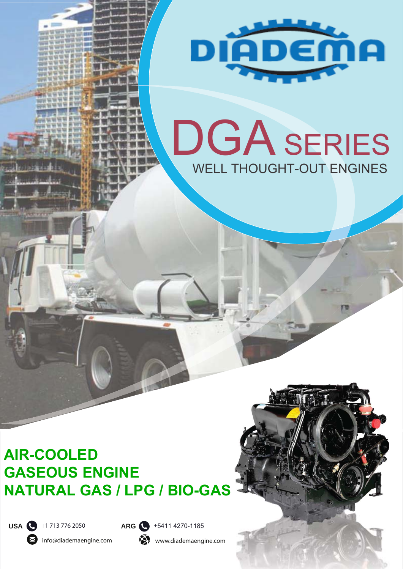

# DGA SERIES WELL THOUGHT-OUT ENGINES

## **AIR-COOLED GASEOUS ENGINE NATURAL GAS / LPG / BIO-GAS**



info@diademaengine.com

www.diademaengine.com

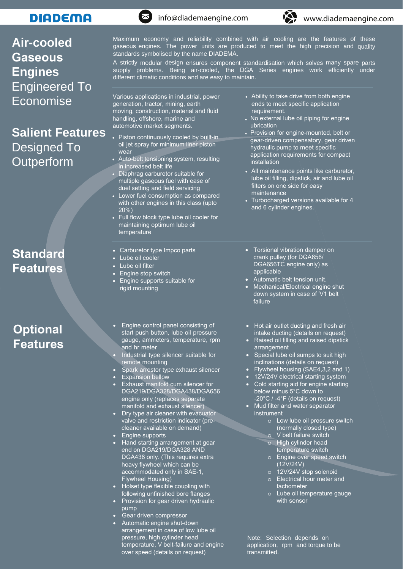#### **DIADEMA**

#### **Air-cooled Gaseous Engines** Engineered To Economise

#### **Salient Features** Designed To **Outperform**

**Standard Features**

### **Optional Features**

generation, tractor, mining, earth moving, construction, material and fluid handling, offshore, marine and automotive market segments. • Piston continuously cooled by built-in oil jet spray for minimum liner piston wear • Auto-belt tensioning system, resulting in increased belt life • Diaphrag carburetor suitable for multiple gaseous fuel with ease of duel setting and field servicing Lower fuel consumption as compared with other engines in this class (upto  $20\%$ • Full flow block type lube oil cooler for maintaining optimum lube oil temperature • Carburetor type Impco parts Lube oil cooler • Lube oil filter • Engine stop switch • Engine supports suitable for rigid mounting • Torsional vibration damper on crank pulley (for DGA656, DGA656TC engine only) as applicable • Automatic belt tension unit. • Mechanical/Electrical engine shut down system in case of 'V1 belt failure ends to meet specific application requirement. • No external lube oil piping for engine • Provision for engine-mounted, belt or ubrication gear-driven compensatory, gear driven hydraulic pump to meet specific application requirements for compact installation • All maintenance points like carburetor, lube oil filling, dipstick, air and lube oil filters on one side for easy maintenance • Turbocharged versions available for 4 and 6 cylinder engines. • Engine control panel consisting of start push button, lube oil pressure gauge, ammeters, temperature, rpm and hr meter • Industrial type silencer suitable for remote mounting • Spark arrestor type exhaust silencer • Expansion bellow **Exhaust manifold cum silencer for** DGA219/DGA328/DGA438/DGA656 engine only (replaces separate manifold and exhaust silencer) Dry type air cleaner with evacuator valve and restriction indicator (precleaner available on demand) • Engine supports • Hand starting arrangement at gear end on DGA219/DGA328 AND DGA438 only. (This requires extra heavy flywheel which can be accommodated only in SAE-1, Flywheel Housing) • Holset type flexible coupling with following unfinished bore flanges • Provision for gear driven hydraulic pump Gear driven compressor • Automatic engine shut-down arrangement in case of low lube oil pressure, high cylinder head temperature, V belt-failure and engine over speed (details on request) Note: Selection depends on application, rpm and torque to be **transmitted** • Hot air outlet ducting and fresh air intake ducting (details on request) • Raised oil filling and raised dipstick arrangement Special lube oil sumps to suit high inclinations (details on request) • Flywheel housing (SAE4,3,2 and 1) 12V/24V electrical starting system • Cold starting aid for engine starting below minus 5°C down to -20°C / -4°F (details on request) Mud filter and water separator instrument o Low lube oil pressure switch (normally closed type) o V belt failure switch High cylinder head temperature switch o Engine over speed switch (12V/24V) o 12V/24V stop solenoid o Electrical hour meter and tachometer o Lube oil temperature gauge with sensor



Various applications in industrial, power



• Ability to take drive from both engine

Maximum economy and reliability combined with air cooling are the features of these gaseous engines. The power units are produced to meet the high precision and quality standards symbolised by the name DIADEMA.

A strictly modular design ensures component standardisation which solves many spare parts supply problems. Being air-cooled, the DGA Series engines work efficiently under different climatic conditions and are easy to maintain.